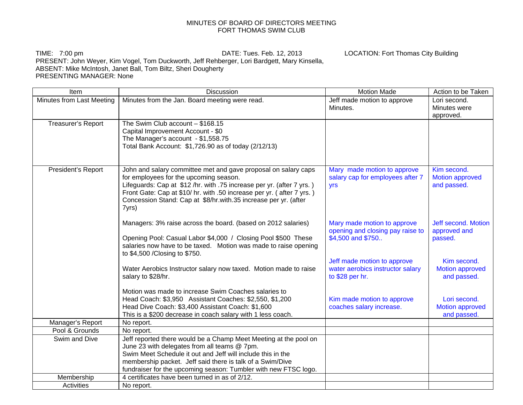## MINUTES OF BOARD OF DIRECTORS MEETING FORT THOMAS SWIM CLUB

TIME: 7:00 pm DATE: Tues. Feb. 12, 2013 LOCATION: Fort Thomas City Building PRESENT: John Weyer, Kim Vogel, Tom Duckworth, Jeff Rehberger, Lori Bardgett, Mary Kinsella, ABSENT: Mike McIntosh, Janet Ball, Tom Biltz, Sheri Dougherty PRESENTING MANAGER: None

Item The Internal Motion Made Action to be Taken Number of the Discussion Contract of Action to be Taken Intern Minutes from Last Meeting | Minutes from the Jan. Board meeting were read. Some 1990 | Jeff made motion to approve Minutes. Lori second. Minutes were approved. Treasurer's Report | The Swim Club account – \$168.15 Capital Improvement Account - \$0 The Manager's account - \$1,558.75 Total Bank Account: \$1,726.90 as of today (2/12/13) President's Report | John and salary committee met and gave proposal on salary caps for employees for the upcoming season. Lifeguards: Cap at \$12 /hr. with .75 increase per yr. (after 7 yrs. ) Front Gate: Cap at \$10/ hr. with .50 increase per yr. ( after 7 yrs. ) Concession Stand: Cap at \$8/hr.with.35 increase per yr. (after 7yrs) Managers: 3% raise across the board. (based on 2012 salaries) Opening Pool: Casual Labor \$4,000 / Closing Pool \$500 These salaries now have to be taxed. Motion was made to raise opening to \$4,500 /Closing to \$750. Water Aerobics Instructor salary now taxed. Motion made to raise salary to \$28/hr. Motion was made to increase Swim Coaches salaries to Head Coach: \$3,950 Assistant Coaches: \$2,550, \$1,200 Head Dive Coach: \$3,400 Assistant Coach: \$1,600 This is a \$200 decrease in coach salary with 1 less coach. Mary made motion to approve salary cap for employees after 7 yrs Mary made motion to approve opening and closing pay raise to \$4,500 and \$750.. Jeff made motion to approve water aerobics instructor salary to \$28 per hr. Kim made motion to approve coaches salary increase. Kim second. Motion approved and passed. Jeff second. Motion approved and passed. Kim second. Motion approved and passed. Lori second. Motion approved and passed. Manager's Report No report. Pool & Grounds No report. Swim and Dive Jeff reported there would be a Champ Meet Meeting at the pool on June 23 with delegates from all teams @ 7pm. Swim Meet Schedule it out and Jeff will include this in the membership packet. Jeff said there is talk of a Swim/Dive fundraiser for the upcoming season: Tumbler with new FTSC logo. Membership  $\vert$  4 certificates have been turned in as of 2/12. Activities No report.